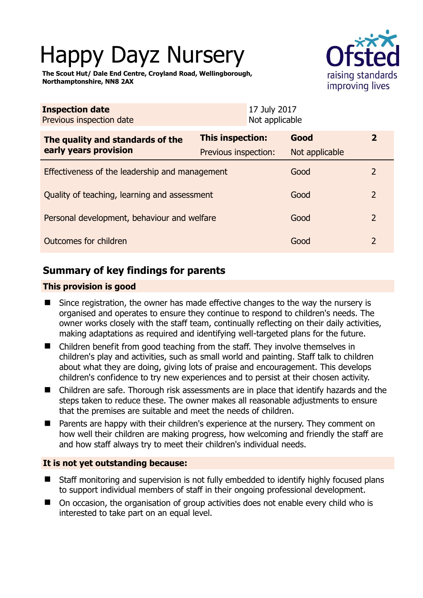# Happy Dayz Nursery



**The Scout Hut/ Dale End Centre, Croyland Road, Wellingborough, Northamptonshire, NN8 2AX** 

| <b>Inspection date</b><br>Previous inspection date        | 17 July 2017<br>Not applicable           |                        |                |
|-----------------------------------------------------------|------------------------------------------|------------------------|----------------|
| The quality and standards of the<br>early years provision | This inspection:<br>Previous inspection: | Good<br>Not applicable | $\mathbf{2}$   |
| Effectiveness of the leadership and management            |                                          | Good                   | $\overline{2}$ |
| Quality of teaching, learning and assessment              |                                          | Good                   | $\overline{2}$ |
| Personal development, behaviour and welfare               |                                          | Good                   | $\overline{2}$ |
| Outcomes for children                                     |                                          | Good                   | $\overline{2}$ |

# **Summary of key findings for parents**

## **This provision is good**

- Since registration, the owner has made effective changes to the way the nursery is organised and operates to ensure they continue to respond to children's needs. The owner works closely with the staff team, continually reflecting on their daily activities, making adaptations as required and identifying well-targeted plans for the future.
- Children benefit from good teaching from the staff. They involve themselves in children's play and activities, such as small world and painting. Staff talk to children about what they are doing, giving lots of praise and encouragement. This develops children's confidence to try new experiences and to persist at their chosen activity.
- Children are safe. Thorough risk assessments are in place that identify hazards and the steps taken to reduce these. The owner makes all reasonable adjustments to ensure that the premises are suitable and meet the needs of children.
- Parents are happy with their children's experience at the nursery. They comment on how well their children are making progress, how welcoming and friendly the staff are and how staff always try to meet their children's individual needs.

#### **It is not yet outstanding because:**

- Staff monitoring and supervision is not fully embedded to identify highly focused plans to support individual members of staff in their ongoing professional development.
- On occasion, the organisation of group activities does not enable every child who is interested to take part on an equal level.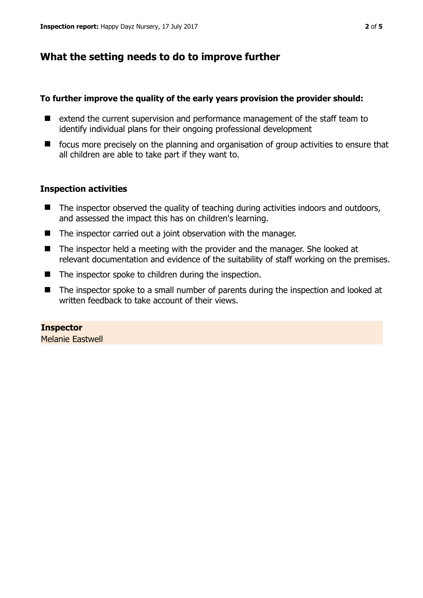# **What the setting needs to do to improve further**

#### **To further improve the quality of the early years provision the provider should:**

- extend the current supervision and performance management of the staff team to identify individual plans for their ongoing professional development
- focus more precisely on the planning and organisation of group activities to ensure that all children are able to take part if they want to.

### **Inspection activities**

- The inspector observed the quality of teaching during activities indoors and outdoors, and assessed the impact this has on children's learning.
- The inspector carried out a joint observation with the manager.
- The inspector held a meeting with the provider and the manager. She looked at relevant documentation and evidence of the suitability of staff working on the premises.
- The inspector spoke to children during the inspection.
- The inspector spoke to a small number of parents during the inspection and looked at written feedback to take account of their views.

## **Inspector**

Melanie Eastwell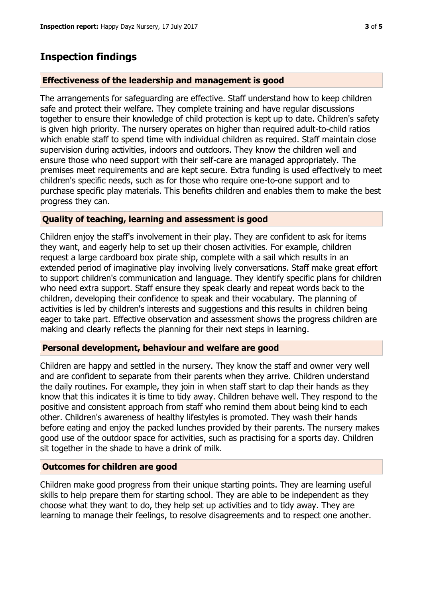## **Inspection findings**

#### **Effectiveness of the leadership and management is good**

The arrangements for safeguarding are effective. Staff understand how to keep children safe and protect their welfare. They complete training and have regular discussions together to ensure their knowledge of child protection is kept up to date. Children's safety is given high priority. The nursery operates on higher than required adult-to-child ratios which enable staff to spend time with individual children as required. Staff maintain close supervision during activities, indoors and outdoors. They know the children well and ensure those who need support with their self-care are managed appropriately. The premises meet requirements and are kept secure. Extra funding is used effectively to meet children's specific needs, such as for those who require one-to-one support and to purchase specific play materials. This benefits children and enables them to make the best progress they can.

#### **Quality of teaching, learning and assessment is good**

Children enjoy the staff's involvement in their play. They are confident to ask for items they want, and eagerly help to set up their chosen activities. For example, children request a large cardboard box pirate ship, complete with a sail which results in an extended period of imaginative play involving lively conversations. Staff make great effort to support children's communication and language. They identify specific plans for children who need extra support. Staff ensure they speak clearly and repeat words back to the children, developing their confidence to speak and their vocabulary. The planning of activities is led by children's interests and suggestions and this results in children being eager to take part. Effective observation and assessment shows the progress children are making and clearly reflects the planning for their next steps in learning.

#### **Personal development, behaviour and welfare are good**

Children are happy and settled in the nursery. They know the staff and owner very well and are confident to separate from their parents when they arrive. Children understand the daily routines. For example, they join in when staff start to clap their hands as they know that this indicates it is time to tidy away. Children behave well. They respond to the positive and consistent approach from staff who remind them about being kind to each other. Children's awareness of healthy lifestyles is promoted. They wash their hands before eating and enjoy the packed lunches provided by their parents. The nursery makes good use of the outdoor space for activities, such as practising for a sports day. Children sit together in the shade to have a drink of milk.

#### **Outcomes for children are good**

Children make good progress from their unique starting points. They are learning useful skills to help prepare them for starting school. They are able to be independent as they choose what they want to do, they help set up activities and to tidy away. They are learning to manage their feelings, to resolve disagreements and to respect one another.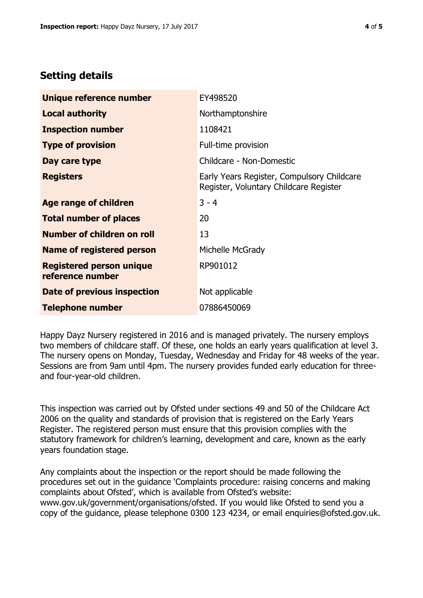## **Setting details**

| Unique reference number                             | EY498520                                                                             |
|-----------------------------------------------------|--------------------------------------------------------------------------------------|
| <b>Local authority</b>                              | Northamptonshire                                                                     |
| <b>Inspection number</b>                            | 1108421                                                                              |
| <b>Type of provision</b>                            | Full-time provision                                                                  |
| Day care type                                       | Childcare - Non-Domestic                                                             |
| <b>Registers</b>                                    | Early Years Register, Compulsory Childcare<br>Register, Voluntary Childcare Register |
| Age range of children                               | $3 - 4$                                                                              |
| <b>Total number of places</b>                       | 20                                                                                   |
| Number of children on roll                          | 13                                                                                   |
| <b>Name of registered person</b>                    | Michelle McGrady                                                                     |
| <b>Registered person unique</b><br>reference number | RP901012                                                                             |
| Date of previous inspection                         | Not applicable                                                                       |
| <b>Telephone number</b>                             | 07886450069                                                                          |

Happy Dayz Nursery registered in 2016 and is managed privately. The nursery employs two members of childcare staff. Of these, one holds an early years qualification at level 3. The nursery opens on Monday, Tuesday, Wednesday and Friday for 48 weeks of the year. Sessions are from 9am until 4pm. The nursery provides funded early education for threeand four-year-old children.

This inspection was carried out by Ofsted under sections 49 and 50 of the Childcare Act 2006 on the quality and standards of provision that is registered on the Early Years Register. The registered person must ensure that this provision complies with the statutory framework for children's learning, development and care, known as the early years foundation stage.

Any complaints about the inspection or the report should be made following the procedures set out in the guidance 'Complaints procedure: raising concerns and making complaints about Ofsted', which is available from Ofsted's website: www.gov.uk/government/organisations/ofsted. If you would like Ofsted to send you a copy of the guidance, please telephone 0300 123 4234, or email enquiries@ofsted.gov.uk.